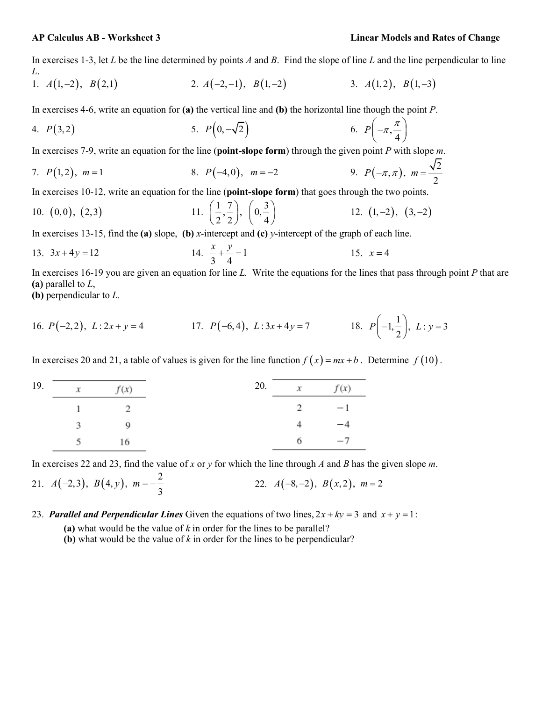## **AP Calculus AB - Worksheet 3 Linear Models and Rates of Change**

In exercises 1-3, let *L* be the line determined by points *A* and *B*. Find the slope of line *L* and the line perpendicular to line *L*.

1. 
$$
A(1,-2), B(2,1)
$$
  
2.  $A(-2,-1), B(1,-2)$   
3.  $A(1,2), B(1,-3)$ 

In exercises 4-6, write an equation for **(a)** the vertical line and **(b)** the horizontal line though the point *P*.

4. 
$$
P(3,2)
$$
 5.  $P(0,-\sqrt{2})$  6.  $P(-\pi,\frac{\pi}{4})$ 

In exercises 7-9, write an equation for the line (**point-slope form**) through the given point *P* with slope *m*.

7. 
$$
P(1,2)
$$
,  $m=1$  8.  $P(-4,0)$ ,  $m=-2$  9.  $P(-\pi,\pi)$ ,  $m=\frac{\sqrt{2}}{2}$ 

In exercises 10-12, write an equation for the line (**point-slope form**) that goes through the two points.

10. (0,0), (2,3) 
$$
11. \left(\frac{1}{2}, \frac{7}{2}\right), \left(0, \frac{3}{4}\right) \hspace{1.5cm} 12. \ (1, -2), \ (3, -2)
$$

In exercises 13-15, find the **(a)** slope, **(b)** *x-*intercept and **(c)** *y*-intercept of the graph of each line.

13. 
$$
3x + 4y = 12
$$
  
14.  $\frac{x}{3} + \frac{y}{4} = 1$   
15.  $x = 4$ 

In exercises 16-19 you are given an equation for line *L.* Write the equations for the lines that pass through point *P* that are **(a)** parallel to *L*,

**(b)** perpendicular to *L.*

16. 
$$
P(-2,2)
$$
,  $L: 2x + y = 4$   
17.  $P(-6,4)$ ,  $L: 3x + 4y = 7$   
18.  $P(-1, \frac{1}{2})$ ,  $L: y = 3$ 

In exercises 20 and 21, a table of values is given for the line function  $f(x) = mx + b$ . Determine  $f(10)$ .

| 19. |    | $x$ $f(x)$     | 20. |   | $x \qquad f(x)$ |
|-----|----|----------------|-----|---|-----------------|
|     |    | 2              |     |   | 2 $-1$          |
|     | 3. | $\overline{9}$ |     | 4 | $-4$            |
|     |    | - 16           |     |   | $6 -7$          |

In exercises 22 and 23, find the value of *x* or *y* for which the line through *A* and *B* has the given slope *m*.

21. 
$$
A(-2,3)
$$
,  $B(4, y)$ ,  $m = -\frac{2}{3}$  22.  $A(-8, -2)$ ,  $B(x, 2)$ ,  $m = 2$ 

23. **Parallel and Perpendicular Lines** Given the equations of two lines,  $2x + ky = 3$  and  $x + y = 1$ :

**(a)** what would be the value of *k* in order for the lines to be parallel?

**(b)** what would be the value of *k* in order for the lines to be perpendicular?